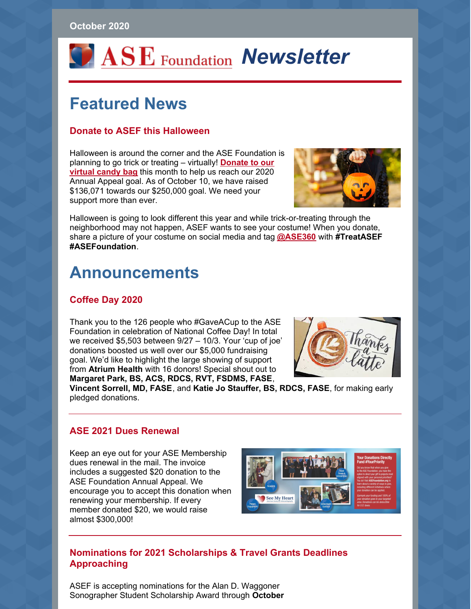#### **October 2020**

# *OASE* Foundation **Newsletter**

## **Featured News**

### **Donate to ASEF this Halloween**

Halloween is around the corner and the ASE Foundation is [planning](https://www.asefoundation.org/halloween-2020/) to go trick or treating – virtually! **Donate to our virtual candy bag** this month to help us reach our 2020 Annual Appeal goal. As of October 10, we have raised \$136,071 towards our \$250,000 goal. We need your support more than ever.



Halloween is going to look different this year and while trick-or-treating through the neighborhood may not happen, ASEF wants to see your costume! When you donate, share a picture of your costume on social media and tag **[@ASE360](https://twitter.com/ASE360)** with **#TreatASEF #ASEFoundation**.

### **Announcements**

### **Coffee Day 2020**

Thank you to the 126 people who #GaveACup to the ASE Foundation in celebration of National Coffee Day! In total we received \$5,503 between 9/27 – 10/3. Your 'cup of joe' donations boosted us well over our \$5,000 fundraising goal. We'd like to highlight the large showing of support from **Atrium Health** with 16 donors! Special shout out to **Margaret Park, BS, ACS, RDCS, RVT, FSDMS, FASE**,



**Vincent Sorrell, MD, FASE**, and **Katie Jo Stauffer, BS, RDCS, FASE**, for making early pledged donations.

#### **ASE 2021 Dues Renewal**

Keep an eye out for your ASE Membership dues renewal in the mail. The invoice includes a suggested \$20 donation to the ASE Foundation Annual Appeal. We encourage you to accept this donation when renewing your membership. If every member donated \$20, we would raise almost \$300,000!



### **Nominations for 2021 Scholarships & Travel Grants Deadlines Approaching**

ASEF is accepting nominations for the Alan D. Waggoner Sonographer Student Scholarship Award through **October**